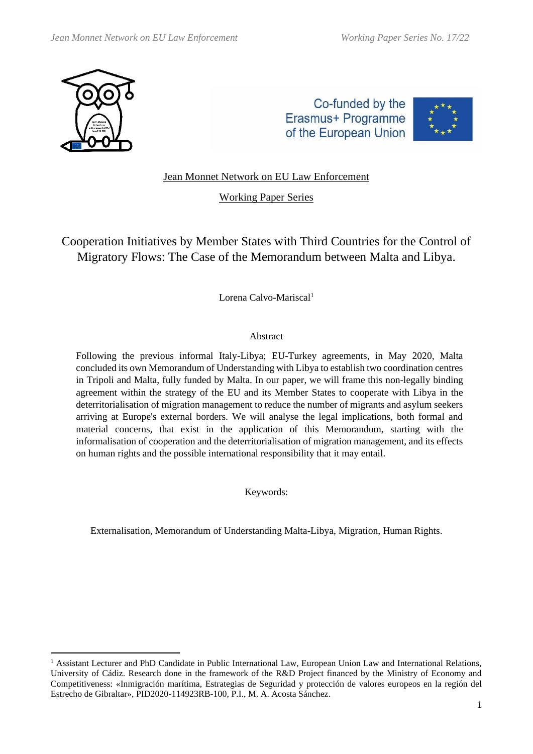

Co-funded by the Erasmus+ Programme of the European Union



# Jean Monnet Network on EU Law Enforcement

Working Paper Series

Cooperation Initiatives by Member States with Third Countries for the Control of Migratory Flows: The Case of the Memorandum between Malta and Libya.

Lorena Calvo-Mariscal<sup>1</sup>

### Abstract

Following the previous informal Italy-Libya; EU-Turkey agreements, in May 2020, Malta concluded its own Memorandum of Understanding with Libya to establish two coordination centres in Tripoli and Malta, fully funded by Malta. In our paper, we will frame this non-legally binding agreement within the strategy of the EU and its Member States to cooperate with Libya in the deterritorialisation of migration management to reduce the number of migrants and asylum seekers arriving at Europe's external borders. We will analyse the legal implications, both formal and material concerns, that exist in the application of this Memorandum, starting with the informalisation of cooperation and the deterritorialisation of migration management, and its effects on human rights and the possible international responsibility that it may entail.

Keywords:

Externalisation, Memorandum of Understanding Malta-Libya, Migration, Human Rights.

<sup>&</sup>lt;sup>1</sup> Assistant Lecturer and PhD Candidate in Public International Law, European Union Law and International Relations, University of Cádiz. Research done in the framework of the R&D Project financed by the Ministry of Economy and Competitiveness: «Inmigración marítima, Estrategias de Seguridad y protección de valores europeos en la región del Estrecho de Gibraltar», PID2020-114923RB-100, P.I., M. A. Acosta Sánchez.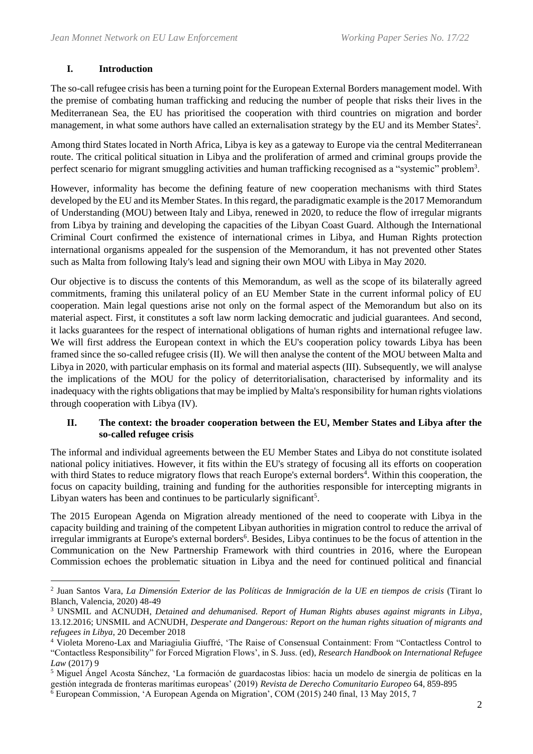## **I. Introduction**

The so-call refugee crisis has been a turning point for the European External Borders management model. With the premise of combating human trafficking and reducing the number of people that risks their lives in the Mediterranean Sea, the EU has prioritised the cooperation with third countries on migration and border management, in what some authors have called an externalisation strategy by the EU and its Member States<sup>2</sup>.

Among third States located in North Africa, Libya is key as a gateway to Europe via the central Mediterranean route. The critical political situation in Libya and the proliferation of armed and criminal groups provide the perfect scenario for migrant smuggling activities and human trafficking recognised as a "systemic" problem<sup>3</sup>.

However, informality has become the defining feature of new cooperation mechanisms with third States developed by the EU and its Member States. In this regard, the paradigmatic example is the 2017 Memorandum of Understanding (MOU) between Italy and Libya, renewed in 2020, to reduce the flow of irregular migrants from Libya by training and developing the capacities of the Libyan Coast Guard. Although the International Criminal Court confirmed the existence of international crimes in Libya, and Human Rights protection international organisms appealed for the suspension of the Memorandum, it has not prevented other States such as Malta from following Italy's lead and signing their own MOU with Libya in May 2020.

Our objective is to discuss the contents of this Memorandum, as well as the scope of its bilaterally agreed commitments, framing this unilateral policy of an EU Member State in the current informal policy of EU cooperation. Main legal questions arise not only on the formal aspect of the Memorandum but also on its material aspect. First, it constitutes a soft law norm lacking democratic and judicial guarantees. And second, it lacks guarantees for the respect of international obligations of human rights and international refugee law. We will first address the European context in which the EU's cooperation policy towards Libya has been framed since the so-called refugee crisis (II). We will then analyse the content of the MOU between Malta and Libya in 2020, with particular emphasis on its formal and material aspects (III). Subsequently, we will analyse the implications of the MOU for the policy of deterritorialisation, characterised by informality and its inadequacy with the rights obligations that may be implied by Malta's responsibility for human rights violations through cooperation with Libya (IV).

#### **II. The context: the broader cooperation between the EU, Member States and Libya after the so-called refugee crisis**

The informal and individual agreements between the EU Member States and Libya do not constitute isolated national policy initiatives. However, it fits within the EU's strategy of focusing all its efforts on cooperation with third States to reduce migratory flows that reach Europe's external borders<sup>4</sup>. Within this cooperation, the focus on capacity building, training and funding for the authorities responsible for intercepting migrants in Libyan waters has been and continues to be particularly significant<sup>5</sup>.

The 2015 European Agenda on Migration already mentioned of the need to cooperate with Libya in the capacity building and training of the competent Libyan authorities in migration control to reduce the arrival of irregular immigrants at Europe's external borders<sup>6</sup>. Besides, Libya continues to be the focus of attention in the Communication on the New Partnership Framework with third countries in 2016, where the European Commission echoes the problematic situation in Libya and the need for continued political and financial

<sup>2</sup> Juan Santos Vara, *La Dimensión Exterior de las Políticas de Inmigración de la UE en tiempos de crisis* (Tirant lo Blanch, Valencia, 2020) 48-49

<sup>3</sup> UNSMIL and ACNUDH, *Detained and dehumanised. Report of Human Rights abuses against migrants in Libya*, 13.12.2016; UNSMIL and ACNUDH, *Desperate and Dangerous: Report on the human rights situation of migrants and refugees in Libya*, 20 December 2018

<sup>4</sup> Violeta Moreno-Lax and Mariagiulia Giuffré, 'The Raise of Consensual Containment: From "Contactless Control to "Contactless Responsibility" for Forced Migration Flows', in S. Juss. (ed), *Research Handbook on International Refugee Law* (2017) 9

<sup>5</sup> Miguel Ángel Acosta Sánchez, 'La formación de guardacostas libios: hacia un modelo de sinergia de políticas en la gestión integrada de fronteras marítimas europeas' (2019) *Revista de Derecho Comunitario Europeo* 64, 859-895

 $6$  European Commission, 'A European Agenda on Migration', COM (2015) 240 final, 13 May 2015, 7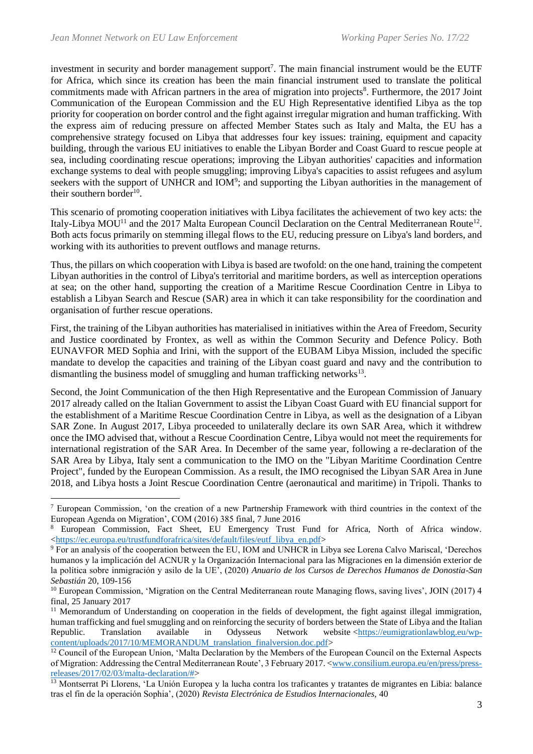investment in security and border management support<sup>7</sup>. The main financial instrument would be the EUTF for Africa, which since its creation has been the main financial instrument used to translate the political commitments made with African partners in the area of migration into projects<sup>8</sup>. Furthermore, the 2017 Joint Communication of the European Commission and the EU High Representative identified Libya as the top priority for cooperation on border control and the fight against irregular migration and human trafficking. With the express aim of reducing pressure on affected Member States such as Italy and Malta, the EU has a comprehensive strategy focused on Libya that addresses four key issues: training, equipment and capacity building, through the various EU initiatives to enable the Libyan Border and Coast Guard to rescue people at sea, including coordinating rescue operations; improving the Libyan authorities' capacities and information exchange systems to deal with people smuggling; improving Libya's capacities to assist refugees and asylum seekers with the support of UNHCR and IOM<sup>9</sup>; and supporting the Libyan authorities in the management of their southern border<sup>10</sup>.

This scenario of promoting cooperation initiatives with Libya facilitates the achievement of two key acts: the Italy-Libya MOU<sup>11</sup> and the 2017 Malta European Council Declaration on the Central Mediterranean Route<sup>12</sup>. Both acts focus primarily on stemming illegal flows to the EU, reducing pressure on Libya's land borders, and working with its authorities to prevent outflows and manage returns.

Thus, the pillars on which cooperation with Libya is based are twofold: on the one hand, training the competent Libyan authorities in the control of Libya's territorial and maritime borders, as well as interception operations at sea; on the other hand, supporting the creation of a Maritime Rescue Coordination Centre in Libya to establish a Libyan Search and Rescue (SAR) area in which it can take responsibility for the coordination and organisation of further rescue operations.

First, the training of the Libyan authorities has materialised in initiatives within the Area of Freedom, Security and Justice coordinated by Frontex, as well as within the Common Security and Defence Policy. Both EUNAVFOR MED Sophia and Irini, with the support of the EUBAM Libya Mission, included the specific mandate to develop the capacities and training of the Libyan coast guard and navy and the contribution to dismantling the business model of smuggling and human trafficking networks<sup>13</sup>.

Second, the Joint Communication of the then High Representative and the European Commission of January 2017 already called on the Italian Government to assist the Libyan Coast Guard with EU financial support for the establishment of a Maritime Rescue Coordination Centre in Libya, as well as the designation of a Libyan SAR Zone. In August 2017, Libya proceeded to unilaterally declare its own SAR Area, which it withdrew once the IMO advised that, without a Rescue Coordination Centre, Libya would not meet the requirements for international registration of the SAR Area. In December of the same year, following a re-declaration of the SAR Area by Libya, Italy sent a communication to the IMO on the "Libyan Maritime Coordination Centre Project", funded by the European Commission. As a result, the IMO recognised the Libyan SAR Area in June 2018, and Libya hosts a Joint Rescue Coordination Centre (aeronautical and maritime) in Tripoli. Thanks to

<sup>7</sup> European Commission, 'on the creation of a new Partnership Framework with third countries in the context of the European Agenda on Migration', COM (2016) 385 final, 7 June 2016

<sup>8</sup> European Commission, Fact Sheet, EU Emergency Trust Fund for Africa, North of Africa window. [<https://ec.europa.eu/trustfundforafrica/sites/default/files/eutf\\_libya\\_en.pdf>](https://ec.europa.eu/trustfundforafrica/sites/default/files/eutf_libya_en.pdf)

<sup>&</sup>lt;sup>9</sup> For an analysis of the cooperation between the EU, IOM and UNHCR in Libya see Lorena Calvo Mariscal, 'Derechos humanos y la implicación del ACNUR y la Organización Internacional para las Migraciones en la dimensión exterior de la política sobre inmigración y asilo de la UE', (2020) *Anuario de los Cursos de Derechos Humanos de Donostia-San Sebastián* 20, 109-156

<sup>&</sup>lt;sup>10</sup> European Commission, 'Migration on the Central Mediterranean route Managing flows, saving lives', JOIN (2017) 4 final, 25 January 2017

<sup>&</sup>lt;sup>11</sup> Memorandum of Understanding on cooperation in the fields of development, the fight against illegal immigration, human trafficking and fuel smuggling and on reinforcing the security of borders between the State of Libya and the Italian Republic. Translation available in Odysseus Network website [<https://eumigrationlawblog.eu/wp](https://eumigrationlawblog.eu/wp-content/uploads/2017/10/MEMORANDUM_translation_finalversion.doc.pdf)[content/uploads/2017/10/MEMORANDUM\\_translation\\_finalversion.doc.pdf>](https://eumigrationlawblog.eu/wp-content/uploads/2017/10/MEMORANDUM_translation_finalversion.doc.pdf)

 $12$  Council of the European Union, 'Malta Declaration by the Members of the European Council on the External Aspects of Migration: Addressing the Central Mediterranean Route', 3 February 2017. [<www.consilium.europa.eu/en/press/press](http://www.consilium.europa.eu/en/press/press-releases/2017/02/03/malta-declaration/)[releases/2017/02/03/malta-declaration/#>](http://www.consilium.europa.eu/en/press/press-releases/2017/02/03/malta-declaration/)

<sup>&</sup>lt;sup>13</sup> Montserrat Pi Llorens, 'La Unión Europea y la lucha contra los traficantes y tratantes de migrantes en Libia: balance tras el fin de la operación Sophia', (2020) *Revista Electrónica de Estudios Internacionales,* 40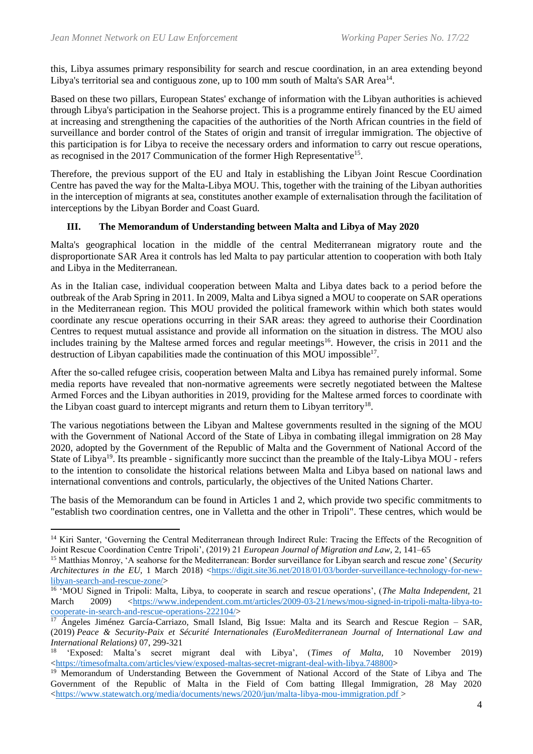this, Libya assumes primary responsibility for search and rescue coordination, in an area extending beyond Libya's territorial sea and contiguous zone, up to 100 mm south of Malta's SAR Area<sup>14</sup>.

Based on these two pillars, European States' exchange of information with the Libyan authorities is achieved through Libya's participation in the Seahorse project. This is a programme entirely financed by the EU aimed at increasing and strengthening the capacities of the authorities of the North African countries in the field of surveillance and border control of the States of origin and transit of irregular immigration. The objective of this participation is for Libya to receive the necessary orders and information to carry out rescue operations, as recognised in the 2017 Communication of the former High Representative<sup>15</sup>.

Therefore, the previous support of the EU and Italy in establishing the Libyan Joint Rescue Coordination Centre has paved the way for the Malta-Libya MOU. This, together with the training of the Libyan authorities in the interception of migrants at sea, constitutes another example of externalisation through the facilitation of interceptions by the Libyan Border and Coast Guard.

### **III. The Memorandum of Understanding between Malta and Libya of May 2020**

Malta's geographical location in the middle of the central Mediterranean migratory route and the disproportionate SAR Area it controls has led Malta to pay particular attention to cooperation with both Italy and Libya in the Mediterranean.

As in the Italian case, individual cooperation between Malta and Libya dates back to a period before the outbreak of the Arab Spring in 2011. In 2009, Malta and Libya signed a MOU to cooperate on SAR operations in the Mediterranean region. This MOU provided the political framework within which both states would coordinate any rescue operations occurring in their SAR areas: they agreed to authorise their Coordination Centres to request mutual assistance and provide all information on the situation in distress. The MOU also includes training by the Maltese armed forces and regular meetings<sup>16</sup>. However, the crisis in 2011 and the destruction of Libyan capabilities made the continuation of this MOU impossible<sup>17</sup>.

After the so-called refugee crisis, cooperation between Malta and Libya has remained purely informal. Some media reports have revealed that non-normative agreements were secretly negotiated between the Maltese Armed Forces and the Libyan authorities in 2019, providing for the Maltese armed forces to coordinate with the Libyan coast guard to intercept migrants and return them to Libyan territory<sup>18</sup>.

The various negotiations between the Libyan and Maltese governments resulted in the signing of the MOU with the Government of National Accord of the State of Libya in combating illegal immigration on 28 May 2020, adopted by the Government of the Republic of Malta and the Government of National Accord of the State of Libya<sup>19</sup>. Its preamble - significantly more succinct than the preamble of the Italy-Libya MOU - refers to the intention to consolidate the historical relations between Malta and Libya based on national laws and international conventions and controls, particularly, the objectives of the United Nations Charter.

The basis of the Memorandum can be found in Articles 1 and 2, which provide two specific commitments to "establish two coordination centres, one in Valletta and the other in Tripoli". These centres, which would be

<sup>&</sup>lt;sup>14</sup> Kiri Santer, 'Governing the Central Mediterranean through Indirect Rule: Tracing the Effects of the Recognition of Joint Rescue Coordination Centre Tripoli', (2019) 21 *European Journal of Migration and Law*, 2, 141–65

<sup>15</sup> Matthias Monroy, 'A seahorse for the Mediterranean: Border surveillance for Libyan search and rescue zone' (*Security Architectures in the EU,* 1 March 2018) [<https://digit.site36.net/2018/01/03/border-surveillance-technology-for-new](https://digit.site36.net/2018/01/03/border-surveillance-technology-for-new-libyan-search-and-rescue-zone/)[libyan-search-and-rescue-zone/>](https://digit.site36.net/2018/01/03/border-surveillance-technology-for-new-libyan-search-and-rescue-zone/)

<sup>16</sup> 'MOU Signed in Tripoli: Malta, Libya, to cooperate in search and rescue operations', (*The Malta Independent,* 21 March 2009) [<https://www.independent.com.mt/articles/2009-03-21/news/mou-signed-in-tripoli-malta-libya-to](https://www.independent.com.mt/articles/2009-03-21/news/mou-signed-in-tripoli-malta-libya-to-cooperate-in-search-and-rescue-operations-222104/)[cooperate-in-search-and-rescue-operations-222104/>](https://www.independent.com.mt/articles/2009-03-21/news/mou-signed-in-tripoli-malta-libya-to-cooperate-in-search-and-rescue-operations-222104/)

<sup>&</sup>lt;sup>17</sup> Ángeles Jiménez García-Carriazo, Small Island, Big Issue: Malta and its Search and Rescue Region – SAR, (2019) *Peace & Security-Paix et Sécurité Internationales (EuroMediterranean Journal of International Law and International Relations)* 07, 299-321

<sup>18</sup> 'Exposed: Malta's secret migrant deal with Libya', (*Times of Malta,* 10 November 2019)  $\langle$ https://timesofmalta.com/articles/view/exposed-maltas-secret-migrant-deal-with-libya.748800>

<sup>19</sup> Memorandum of Understanding Between the Government of National Accord of the State of Libya and The Government of the Republic of Malta in the Field of Com batting Illegal Immigration, 28 May 2020 [<https://www.statewatch.org/media/documents/news/2020/jun/malta-libya-mou-immigration.pdf](https://www.statewatch.org/media/documents/news/2020/jun/malta-libya-mou-immigration.pdf) >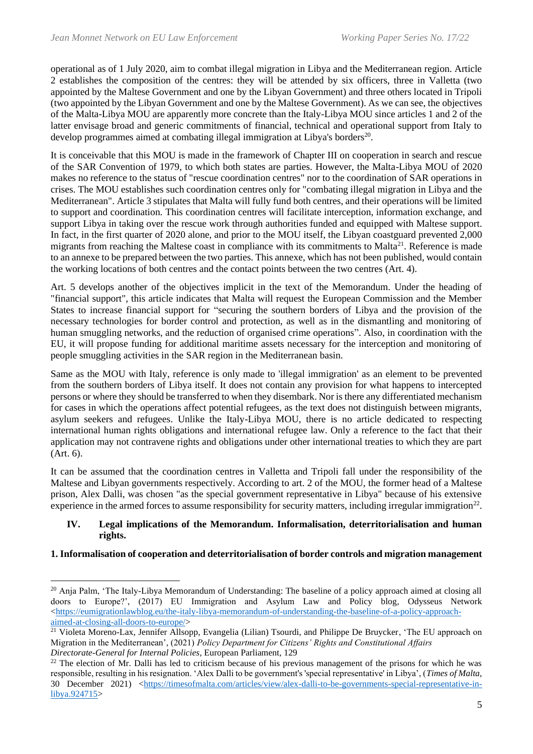operational as of 1 July 2020, aim to combat illegal migration in Libya and the Mediterranean region. Article 2 establishes the composition of the centres: they will be attended by six officers, three in Valletta (two appointed by the Maltese Government and one by the Libyan Government) and three others located in Tripoli (two appointed by the Libyan Government and one by the Maltese Government). As we can see, the objectives of the Malta-Libya MOU are apparently more concrete than the Italy-Libya MOU since articles 1 and 2 of the latter envisage broad and generic commitments of financial, technical and operational support from Italy to develop programmes aimed at combating illegal immigration at Libya's borders<sup>20</sup>.

It is conceivable that this MOU is made in the framework of Chapter III on cooperation in search and rescue of the SAR Convention of 1979, to which both states are parties. However, the Malta-Libya MOU of 2020 makes no reference to the status of "rescue coordination centres" nor to the coordination of SAR operations in crises. The MOU establishes such coordination centres only for "combating illegal migration in Libya and the Mediterranean". Article 3 stipulates that Malta will fully fund both centres, and their operations will be limited to support and coordination. This coordination centres will facilitate interception, information exchange, and support Libya in taking over the rescue work through authorities funded and equipped with Maltese support. In fact, in the first quarter of 2020 alone, and prior to the MOU itself, the Libyan coastguard prevented 2,000 migrants from reaching the Maltese coast in compliance with its commitments to Malta<sup>21</sup>. Reference is made to an annexe to be prepared between the two parties. This annexe, which has not been published, would contain the working locations of both centres and the contact points between the two centres (Art. 4).

Art. 5 develops another of the objectives implicit in the text of the Memorandum. Under the heading of "financial support", this article indicates that Malta will request the European Commission and the Member States to increase financial support for "securing the southern borders of Libya and the provision of the necessary technologies for border control and protection, as well as in the dismantling and monitoring of human smuggling networks, and the reduction of organised crime operations". Also, in coordination with the EU, it will propose funding for additional maritime assets necessary for the interception and monitoring of people smuggling activities in the SAR region in the Mediterranean basin.

Same as the MOU with Italy, reference is only made to 'illegal immigration' as an element to be prevented from the southern borders of Libya itself. It does not contain any provision for what happens to intercepted persons or where they should be transferred to when they disembark. Nor is there any differentiated mechanism for cases in which the operations affect potential refugees, as the text does not distinguish between migrants, asylum seekers and refugees. Unlike the Italy-Libya MOU, there is no article dedicated to respecting international human rights obligations and international refugee law. Only a reference to the fact that their application may not contravene rights and obligations under other international treaties to which they are part (Art. 6).

It can be assumed that the coordination centres in Valletta and Tripoli fall under the responsibility of the Maltese and Libyan governments respectively. According to art. 2 of the MOU, the former head of a Maltese prison, Alex Dalli, was chosen "as the special government representative in Libya" because of his extensive experience in the armed forces to assume responsibility for security matters, including irregular immigration $^{22}$ .

#### **IV. Legal implications of the Memorandum. Informalisation, deterritorialisation and human rights.**

### **1. Informalisation of cooperation and deterritorialisation of border controls and migration management**

<sup>&</sup>lt;sup>20</sup> Anja Palm, 'The Italy-Libya Memorandum of Understanding: The baseline of a policy approach aimed at closing all doors to Europe?', (2017) EU Immigration and Asylum Law and Policy blog*,* Odysseus Network [<https://eumigrationlawblog.eu/the-italy-libya-memorandum-of-understanding-the-baseline-of-a-policy-approach](https://eumigrationlawblog.eu/the-italy-libya-memorandum-of-understanding-the-baseline-of-a-policy-approach-aimed-at-closing-all-doors-to-europe/)[aimed-at-closing-all-doors-to-europe/>](https://eumigrationlawblog.eu/the-italy-libya-memorandum-of-understanding-the-baseline-of-a-policy-approach-aimed-at-closing-all-doors-to-europe/)

 $^{21}$  Violeta Moreno-Lax, Jennifer Allsopp, Evangelia (Lilian) Tsourdi, and Philippe De Bruycker, 'The EU approach on Migration in the Mediterranean', (2021) *Policy Department for Citizens' Rights and Constitutional Affairs Directorate-General for Internal Policies*, European Parliament, 129

 $^{22}$  The election of Mr. Dalli has led to criticism because of his previous management of the prisons for which he was responsible, resulting in his resignation. 'Alex Dalli to be government's 'special representative' in Libya', (*Times of Malta*, 30 December 2021) [<https://timesofmalta.com/articles/view/alex-dalli-to-be-governments-special-representative-in](https://timesofmalta.com/articles/view/alex-dalli-to-be-governments-special-representative-in-libya.924715)[libya.924715>](https://timesofmalta.com/articles/view/alex-dalli-to-be-governments-special-representative-in-libya.924715)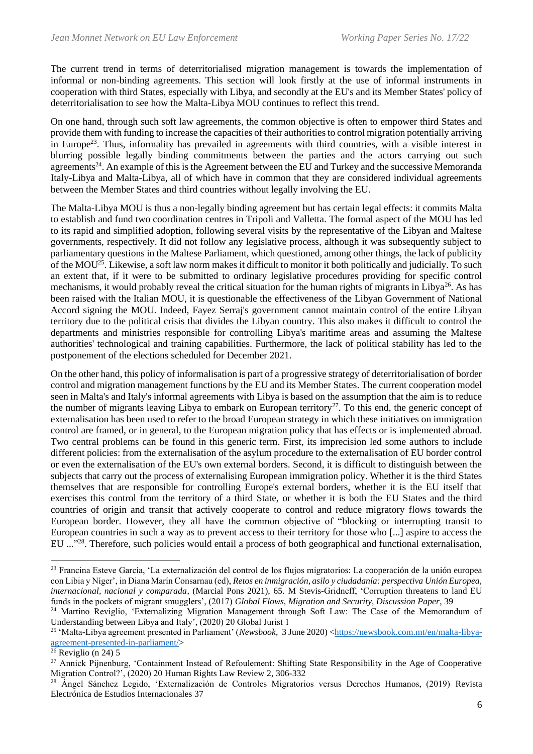The current trend in terms of deterritorialised migration management is towards the implementation of informal or non-binding agreements. This section will look firstly at the use of informal instruments in cooperation with third States, especially with Libya, and secondly at the EU's and its Member States' policy of deterritorialisation to see how the Malta-Libya MOU continues to reflect this trend.

On one hand, through such soft law agreements, the common objective is often to empower third States and provide them with funding to increase the capacities of their authorities to control migration potentially arriving in Europe<sup>23</sup>. Thus, informality has prevailed in agreements with third countries, with a visible interest in blurring possible legally binding commitments between the parties and the actors carrying out such agreements<sup>24</sup>. An example of this is the Agreement between the EU and Turkey and the successive Memoranda Italy-Libya and Malta-Libya, all of which have in common that they are considered individual agreements between the Member States and third countries without legally involving the EU.

The Malta-Libya MOU is thus a non-legally binding agreement but has certain legal effects: it commits Malta to establish and fund two coordination centres in Tripoli and Valletta. The formal aspect of the MOU has led to its rapid and simplified adoption, following several visits by the representative of the Libyan and Maltese governments, respectively. It did not follow any legislative process, although it was subsequently subject to parliamentary questions in the Maltese Parliament, which questioned, among other things, the lack of publicity of the MOU<sup>25</sup>. Likewise, a soft law norm makes it difficult to monitor it both politically and judicially. To such an extent that, if it were to be submitted to ordinary legislative procedures providing for specific control mechanisms, it would probably reveal the critical situation for the human rights of migrants in Libya<sup>26</sup>. As has been raised with the Italian MOU, it is questionable the effectiveness of the Libyan Government of National Accord signing the MOU. Indeed, Fayez Serraj's government cannot maintain control of the entire Libyan territory due to the political crisis that divides the Libyan country. This also makes it difficult to control the departments and ministries responsible for controlling Libya's maritime areas and assuming the Maltese authorities' technological and training capabilities. Furthermore, the lack of political stability has led to the postponement of the elections scheduled for December 2021.

On the other hand, this policy of informalisation is part of a progressive strategy of deterritorialisation of border control and migration management functions by the EU and its Member States. The current cooperation model seen in Malta's and Italy's informal agreements with Libya is based on the assumption that the aim is to reduce the number of migrants leaving Libya to embark on European territory<sup>27</sup>. To this end, the generic concept of externalisation has been used to refer to the broad European strategy in which these initiatives on immigration control are framed, or in general, to the European migration policy that has effects or is implemented abroad. Two central problems can be found in this generic term. First, its imprecision led some authors to include different policies: from the externalisation of the asylum procedure to the externalisation of EU border control or even the externalisation of the EU's own external borders. Second, it is difficult to distinguish between the subjects that carry out the process of externalising European immigration policy. Whether it is the third States themselves that are responsible for controlling Europe's external borders, whether it is the EU itself that exercises this control from the territory of a third State, or whether it is both the EU States and the third countries of origin and transit that actively cooperate to control and reduce migratory flows towards the European border. However, they all have the common objective of "blocking or interrupting transit to European countries in such a way as to prevent access to their territory for those who [...] aspire to access the EU ..."<sup>28</sup>. Therefore, such policies would entail a process of both geographical and functional externalisation,

<sup>23</sup> Francina Esteve García, 'La externalización del control de los flujos migratorios: La cooperación de la unión europea con Libia y Níger', in Diana Marín Consarnau (ed), *Retos en inmigración, asilo y ciudadanía: perspectiva Unión Europea, internacional, nacional y comparada*, (Marcial Pons 2021), 65. M Stevis-Gridneff, 'Corruption threatens to land EU funds in the pockets of migrant smugglers', (2017) *Global Flows, Migration and Security, Discussion Paper*, 39

<sup>&</sup>lt;sup>24</sup> Martino Reviglio, 'Externalizing Migration Management through Soft Law: The Case of the Memorandum of Understanding between Libya and Italy', (2020) 20 Global Jurist 1

<sup>&</sup>lt;sup>25</sup> 'Malta-Libya agreement presented in Parliament' (*Newsbook*, 3 June 2020) [<https://newsbook.com.mt/en/malta-libya](https://newsbook.com.mt/en/malta-libya-agreement-presented-in-parliament/)[agreement-presented-in-parliament/>](https://newsbook.com.mt/en/malta-libya-agreement-presented-in-parliament/)

 $26$  Reviglio (n 24) 5

<sup>&</sup>lt;sup>27</sup> Annick Pijnenburg, 'Containment Instead of Refoulement: Shifting State Responsibility in the Age of Cooperative Migration Control?', (2020) 20 Human Rights Law Review 2, 306-332

<sup>&</sup>lt;sup>28</sup> Ángel Sánchez Legido, 'Externalización de Controles Migratorios versus Derechos Humanos, (2019) Revista Electrónica de Estudios Internacionales 37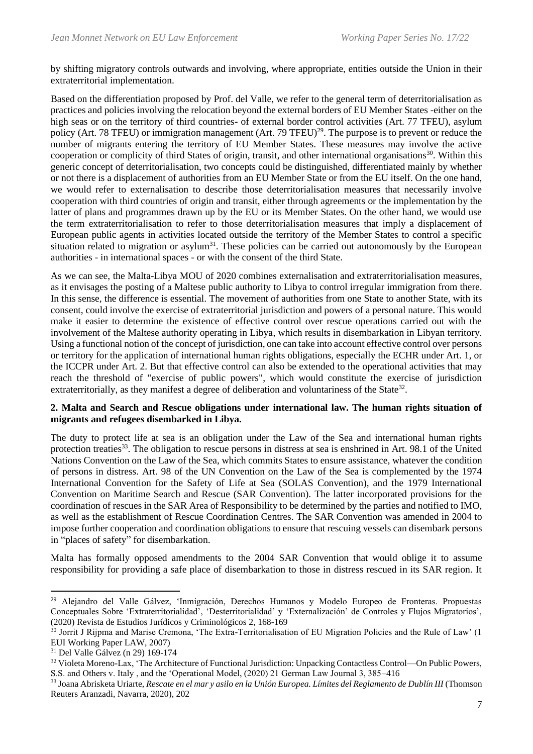by shifting migratory controls outwards and involving, where appropriate, entities outside the Union in their extraterritorial implementation.

Based on the differentiation proposed by Prof. del Valle, we refer to the general term of deterritorialisation as practices and policies involving the relocation beyond the external borders of EU Member States -either on the high seas or on the territory of third countries- of external border control activities (Art. 77 TFEU), asylum policy (Art. 78 TFEU) or immigration management (Art. 79 TFEU)<sup>29</sup>. The purpose is to prevent or reduce the number of migrants entering the territory of EU Member States. These measures may involve the active cooperation or complicity of third States of origin, transit, and other international organisations<sup>30</sup>. Within this generic concept of deterritorialisation, two concepts could be distinguished, differentiated mainly by whether or not there is a displacement of authorities from an EU Member State or from the EU itself. On the one hand, we would refer to externalisation to describe those deterritorialisation measures that necessarily involve cooperation with third countries of origin and transit, either through agreements or the implementation by the latter of plans and programmes drawn up by the EU or its Member States. On the other hand, we would use the term extraterritorialisation to refer to those deterritorialisation measures that imply a displacement of European public agents in activities located outside the territory of the Member States to control a specific situation related to migration or asylum<sup>31</sup>. These policies can be carried out autonomously by the European authorities - in international spaces - or with the consent of the third State.

As we can see, the Malta-Libya MOU of 2020 combines externalisation and extraterritorialisation measures, as it envisages the posting of a Maltese public authority to Libya to control irregular immigration from there. In this sense, the difference is essential. The movement of authorities from one State to another State, with its consent, could involve the exercise of extraterritorial jurisdiction and powers of a personal nature. This would make it easier to determine the existence of effective control over rescue operations carried out with the involvement of the Maltese authority operating in Libya, which results in disembarkation in Libyan territory. Using a functional notion of the concept of jurisdiction, one can take into account effective control over persons or territory for the application of international human rights obligations, especially the ECHR under Art. 1, or the ICCPR under Art. 2. But that effective control can also be extended to the operational activities that may reach the threshold of "exercise of public powers", which would constitute the exercise of jurisdiction extraterritorially, as they manifest a degree of deliberation and voluntariness of the State<sup>32</sup>.

#### **2. Malta and Search and Rescue obligations under international law. The human rights situation of migrants and refugees disembarked in Libya.**

The duty to protect life at sea is an obligation under the Law of the Sea and international human rights protection treaties<sup>33</sup>. The obligation to rescue persons in distress at sea is enshrined in Art. 98.1 of the United Nations Convention on the Law of the Sea, which commits States to ensure assistance, whatever the condition of persons in distress. Art. 98 of the UN Convention on the Law of the Sea is complemented by the 1974 International Convention for the Safety of Life at Sea (SOLAS Convention), and the 1979 International Convention on Maritime Search and Rescue (SAR Convention). The latter incorporated provisions for the coordination of rescues in the SAR Area of Responsibility to be determined by the parties and notified to IMO, as well as the establishment of Rescue Coordination Centres. The SAR Convention was amended in 2004 to impose further cooperation and coordination obligations to ensure that rescuing vessels can disembark persons in "places of safety" for disembarkation.

Malta has formally opposed amendments to the 2004 SAR Convention that would oblige it to assume responsibility for providing a safe place of disembarkation to those in distress rescued in its SAR region. It

<sup>29</sup> Alejandro del Valle Gálvez, 'Inmigración, Derechos Humanos y Modelo Europeo de Fronteras. Propuestas Conceptuales Sobre 'Extraterritorialidad', 'Desterritorialidad' y 'Externalización' de Controles y Flujos Migratorios', (2020) Revista de Estudios Jurídicos y Criminológicos 2, 168-169

<sup>&</sup>lt;sup>30</sup> Jorrit J Rijpma and Marise Cremona, 'The Extra-Territorialisation of EU Migration Policies and the Rule of Law' (1 EUI Working Paper LAW, 2007)

<sup>31</sup> Del Valle Gálvez (n 29) 169-174

<sup>32</sup> Violeta Moreno-Lax, 'The Architecture of Functional Jurisdiction: Unpacking Contactless Control—On Public Powers,

S.S. and Others v. Italy , and the 'Operational Model, (2020) 21 German Law Journal 3, 385–416

<sup>33</sup> Joana Abrisketa Uriarte, *Rescate en el mar y asilo en la Unión Europea. Límites del Reglamento de Dublín III* (Thomson Reuters Aranzadi, Navarra, 2020), 202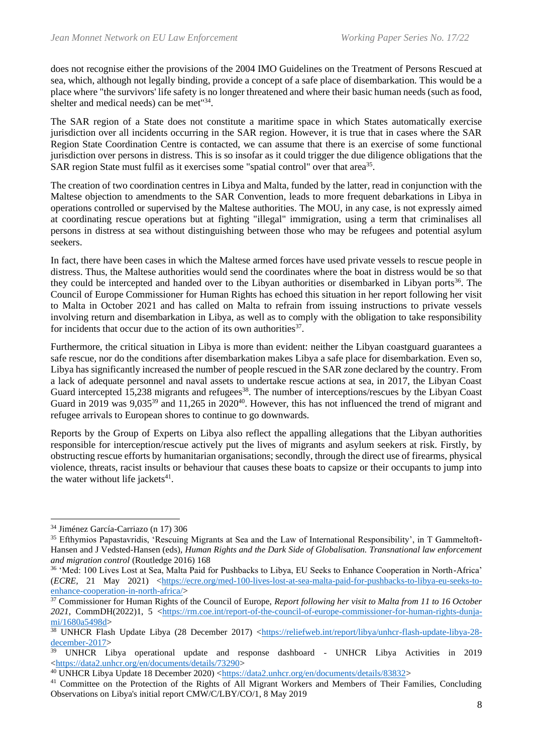does not recognise either the provisions of the 2004 IMO Guidelines on the Treatment of Persons Rescued at sea, which, although not legally binding, provide a concept of a safe place of disembarkation. This would be a place where "the survivors' life safety is no longer threatened and where their basic human needs (such as food, shelter and medical needs) can be met<sup>"34</sup>.

The SAR region of a State does not constitute a maritime space in which States automatically exercise jurisdiction over all incidents occurring in the SAR region. However, it is true that in cases where the SAR Region State Coordination Centre is contacted, we can assume that there is an exercise of some functional jurisdiction over persons in distress. This is so insofar as it could trigger the due diligence obligations that the SAR region State must fulfil as it exercises some "spatial control" over that area<sup>35</sup>.

The creation of two coordination centres in Libya and Malta, funded by the latter, read in conjunction with the Maltese objection to amendments to the SAR Convention, leads to more frequent debarkations in Libya in operations controlled or supervised by the Maltese authorities. The MOU, in any case, is not expressly aimed at coordinating rescue operations but at fighting "illegal" immigration, using a term that criminalises all persons in distress at sea without distinguishing between those who may be refugees and potential asylum seekers.

In fact, there have been cases in which the Maltese armed forces have used private vessels to rescue people in distress. Thus, the Maltese authorities would send the coordinates where the boat in distress would be so that they could be intercepted and handed over to the Libyan authorities or disembarked in Libyan ports<sup>36</sup>. The Council of Europe Commissioner for Human Rights has echoed this situation in her report following her visit to Malta in October 2021 and has called on Malta to refrain from issuing instructions to private vessels involving return and disembarkation in Libya, as well as to comply with the obligation to take responsibility for incidents that occur due to the action of its own authorities<sup>37</sup>.

Furthermore, the critical situation in Libya is more than evident: neither the Libyan coastguard guarantees a safe rescue, nor do the conditions after disembarkation makes Libya a safe place for disembarkation. Even so, Libya has significantly increased the number of people rescued in the SAR zone declared by the country. From a lack of adequate personnel and naval assets to undertake rescue actions at sea, in 2017, the Libyan Coast Guard intercepted 15,238 migrants and refugees<sup>38</sup>. The number of interceptions/rescues by the Libyan Coast Guard in 2019 was 9,035<sup>39</sup> and 11,265 in 2020<sup>40</sup>. However, this has not influenced the trend of migrant and refugee arrivals to European shores to continue to go downwards.

Reports by the Group of Experts on Libya also reflect the appalling allegations that the Libyan authorities responsible for interception/rescue actively put the lives of migrants and asylum seekers at risk. Firstly, by obstructing rescue efforts by humanitarian organisations; secondly, through the direct use of firearms, physical violence, threats, racist insults or behaviour that causes these boats to capsize or their occupants to jump into the water without life jackets $41$ .

<sup>34</sup> Jiménez García-Carriazo (n 17) 306

<sup>&</sup>lt;sup>35</sup> Efthymios Papastavridis, 'Rescuing Migrants at Sea and the Law of International Responsibility', in T Gammeltoft-Hansen and J Vedsted-Hansen (eds), *Human Rights and the Dark Side of Globalisation. Transnational law enforcement and migration control* (Routledge 2016) 168

<sup>36</sup> 'Med: 100 Lives Lost at Sea, Malta Paid for Pushbacks to Libya, EU Seeks to Enhance Cooperation in North-Africa' (*ECRE,* 21 May 2021) [<https://ecre.org/med-100-lives-lost-at-sea-malta-paid-for-pushbacks-to-libya-eu-seeks-to](https://ecre.org/med-100-lives-lost-at-sea-malta-paid-for-pushbacks-to-libya-eu-seeks-to-enhance-cooperation-in-north-africa/)[enhance-cooperation-in-north-africa/>](https://ecre.org/med-100-lives-lost-at-sea-malta-paid-for-pushbacks-to-libya-eu-seeks-to-enhance-cooperation-in-north-africa/)

<sup>37</sup> Commissioner for Human Rights of the Council of Europe, *Report following her visit to Malta from 11 to 16 October*  2021, CommDH(2022)1, 5 [<https://rm.coe.int/report-of-the-council-of-europe-commissioner-for-human-rights-dunja](https://rm.coe.int/report-of-the-council-of-europe-commissioner-for-human-rights-dunja-mi/1680a5498d)[mi/1680a5498d>](https://rm.coe.int/report-of-the-council-of-europe-commissioner-for-human-rights-dunja-mi/1680a5498d)

<sup>&</sup>lt;sup>38</sup> UNHCR Flash Update Libya (28 December 2017) [<https://reliefweb.int/report/libya/unhcr-flash-update-libya-28](https://reliefweb.int/report/libya/unhcr-flash-update-libya-28-december-2017) [december-2017>](https://reliefweb.int/report/libya/unhcr-flash-update-libya-28-december-2017)

<sup>&</sup>lt;sup>39</sup> UNHCR Libya operational update and response dashboard - UNHCR Libya Activities in 2019 [<https://data2.unhcr.org/en/documents/details/73290>](https://data2.unhcr.org/en/documents/details/73290)

<sup>&</sup>lt;sup>40</sup> UNHCR Libya Update 18 December 2020) [<https://data2.unhcr.org/en/documents/details/83832>](https://data2.unhcr.org/en/documents/details/83832)

<sup>41</sup> Committee on the Protection of the Rights of All Migrant Workers and Members of Their Families, Concluding Observations on Libya's initial report CMW/C/LBY/CO/1, 8 May 2019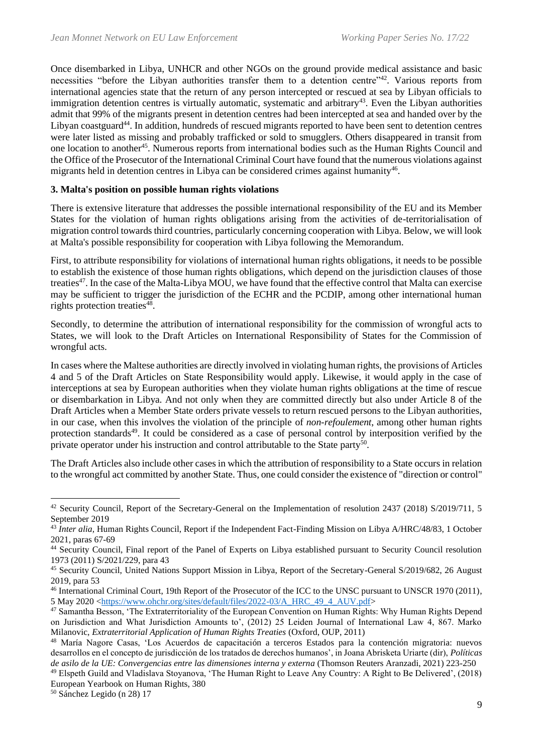Once disembarked in Libya, UNHCR and other NGOs on the ground provide medical assistance and basic necessities "before the Libyan authorities transfer them to a detention centre"<sup>42</sup>. Various reports from international agencies state that the return of any person intercepted or rescued at sea by Libyan officials to immigration detention centres is virtually automatic, systematic and arbitrary<sup>43</sup>. Even the Libyan authorities admit that 99% of the migrants present in detention centres had been intercepted at sea and handed over by the Libyan coastguard<sup>44</sup>. In addition, hundreds of rescued migrants reported to have been sent to detention centres were later listed as missing and probably trafficked or sold to smugglers. Others disappeared in transit from one location to another<sup>45</sup>. Numerous reports from international bodies such as the Human Rights Council and the Office of the Prosecutor of the International Criminal Court have found that the numerous violations against migrants held in detention centres in Libya can be considered crimes against humanity<sup>46</sup>.

### **3. Malta's position on possible human rights violations**

There is extensive literature that addresses the possible international responsibility of the EU and its Member States for the violation of human rights obligations arising from the activities of de-territorialisation of migration control towards third countries, particularly concerning cooperation with Libya. Below, we will look at Malta's possible responsibility for cooperation with Libya following the Memorandum.

First, to attribute responsibility for violations of international human rights obligations, it needs to be possible to establish the existence of those human rights obligations, which depend on the jurisdiction clauses of those treaties<sup>47</sup>. In the case of the Malta-Libya MOU, we have found that the effective control that Malta can exercise may be sufficient to trigger the jurisdiction of the ECHR and the PCDIP, among other international human rights protection treaties<sup>48</sup>.

Secondly, to determine the attribution of international responsibility for the commission of wrongful acts to States, we will look to the Draft Articles on International Responsibility of States for the Commission of wrongful acts.

In cases where the Maltese authorities are directly involved in violating human rights, the provisions of Articles 4 and 5 of the Draft Articles on State Responsibility would apply. Likewise, it would apply in the case of interceptions at sea by European authorities when they violate human rights obligations at the time of rescue or disembarkation in Libya. And not only when they are committed directly but also under Article 8 of the Draft Articles when a Member State orders private vessels to return rescued persons to the Libyan authorities, in our case, when this involves the violation of the principle of *non-refoulement*, among other human rights protection standards<sup>49</sup>. It could be considered as a case of personal control by interposition verified by the private operator under his instruction and control attributable to the State party<sup>50</sup>.

The Draft Articles also include other cases in which the attribution of responsibility to a State occurs in relation to the wrongful act committed by another State. Thus, one could consider the existence of "direction or control"

<sup>&</sup>lt;sup>42</sup> Security Council, Report of the Secretary-General on the Implementation of resolution 2437 (2018) S/2019/711, 5 September 2019

<sup>43</sup> *Inter alia,* Human Rights Council, Report if the Independent Fact-Finding Mission on Libya A/HRC/48/83, 1 October 2021, paras 67-69

<sup>44</sup> Security Council, Final report of the Panel of Experts on Libya established pursuant to Security Council resolution 1973 (2011) S/2021/229, para 43

<sup>45</sup> Security Council, United Nations Support Mission in Libya, Report of the Secretary-General S/2019/682, 26 August 2019, para 53

<sup>46</sup> International Criminal Court, 19th Report of the Prosecutor of the ICC to the UNSC pursuant to UNSCR 1970 (2011), 5 May 2020 [<https://www.ohchr.org/sites/default/files/2022-03/A\\_HRC\\_49\\_4\\_AUV.pdf>](https://www.ohchr.org/sites/default/files/2022-03/A_HRC_49_4_AUV.pdf)

<sup>&</sup>lt;sup>47</sup> Samantha Besson, 'The Extraterritoriality of the European Convention on Human Rights: Why Human Rights Depend on Jurisdiction and What Jurisdiction Amounts to', (2012) 25 Leiden Journal of International Law 4, 867. Marko Milanovic, *Extraterritorial Application of Human Rights Treaties* (Oxford, OUP, 2011)

<sup>48</sup> María Nagore Casas, 'Los Acuerdos de capacitación a terceros Estados para la contención migratoria: nuevos desarrollos en el concepto de jurisdicción de los tratados de derechos humanos', in Joana Abrisketa Uriarte (dir), *Políticas de asilo de la UE: Convergencias entre las dimensiones interna y externa* (Thomson Reuters Aranzadi, 2021) 223-250

<sup>49</sup> Elspeth Guild and Vladislava Stoyanova, 'The Human Right to Leave Any Country: A Right to Be Delivered', (2018) European Yearbook on Human Rights, 380

<sup>50</sup> Sánchez Legido (n 28) 17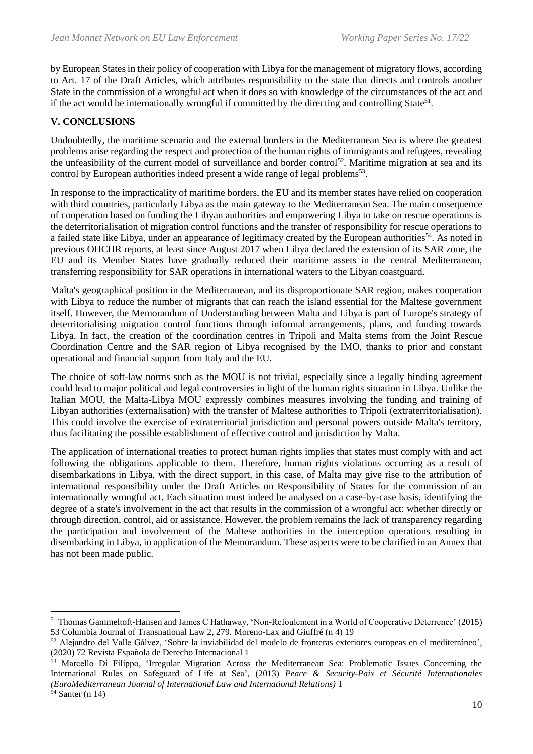by European States in their policy of cooperation with Libya for the management of migratory flows, according to Art. 17 of the Draft Articles, which attributes responsibility to the state that directs and controls another State in the commission of a wrongful act when it does so with knowledge of the circumstances of the act and if the act would be internationally wrongful if committed by the directing and controlling State<sup>51</sup>.

## **V. CONCLUSIONS**

Undoubtedly, the maritime scenario and the external borders in the Mediterranean Sea is where the greatest problems arise regarding the respect and protection of the human rights of immigrants and refugees, revealing the unfeasibility of the current model of surveillance and border control<sup>52</sup>. Maritime migration at sea and its control by European authorities indeed present a wide range of legal problems<sup>53</sup>.

In response to the impracticality of maritime borders, the EU and its member states have relied on cooperation with third countries, particularly Libya as the main gateway to the Mediterranean Sea. The main consequence of cooperation based on funding the Libyan authorities and empowering Libya to take on rescue operations is the deterritorialisation of migration control functions and the transfer of responsibility for rescue operations to a failed state like Libya, under an appearance of legitimacy created by the European authorities<sup>54</sup>. As noted in previous OHCHR reports, at least since August 2017 when Libya declared the extension of its SAR zone, the EU and its Member States have gradually reduced their maritime assets in the central Mediterranean, transferring responsibility for SAR operations in international waters to the Libyan coastguard.

Malta's geographical position in the Mediterranean, and its disproportionate SAR region, makes cooperation with Libya to reduce the number of migrants that can reach the island essential for the Maltese government itself. However, the Memorandum of Understanding between Malta and Libya is part of Europe's strategy of deterritorialising migration control functions through informal arrangements, plans, and funding towards Libya. In fact, the creation of the coordination centres in Tripoli and Malta stems from the Joint Rescue Coordination Centre and the SAR region of Libya recognised by the IMO, thanks to prior and constant operational and financial support from Italy and the EU.

The choice of soft-law norms such as the MOU is not trivial, especially since a legally binding agreement could lead to major political and legal controversies in light of the human rights situation in Libya. Unlike the Italian MOU, the Malta-Libya MOU expressly combines measures involving the funding and training of Libyan authorities (externalisation) with the transfer of Maltese authorities to Tripoli (extraterritorialisation). This could involve the exercise of extraterritorial jurisdiction and personal powers outside Malta's territory, thus facilitating the possible establishment of effective control and jurisdiction by Malta.

The application of international treaties to protect human rights implies that states must comply with and act following the obligations applicable to them. Therefore, human rights violations occurring as a result of disembarkations in Libya, with the direct support, in this case, of Malta may give rise to the attribution of international responsibility under the Draft Articles on Responsibility of States for the commission of an internationally wrongful act. Each situation must indeed be analysed on a case-by-case basis, identifying the degree of a state's involvement in the act that results in the commission of a wrongful act: whether directly or through direction, control, aid or assistance. However, the problem remains the lack of transparency regarding the participation and involvement of the Maltese authorities in the interception operations resulting in disembarking in Libya, in application of the Memorandum. These aspects were to be clarified in an Annex that has not been made public.

<sup>51</sup> Thomas Gammeltoft-Hansen and James C Hathaway, 'Non-Refoulement in a World of Cooperative Deterrence' (2015) 53 Columbia Journal of Transnational Law 2, 279. Moreno-Lax and Giuffré (n 4) 19

<sup>52</sup> Alejandro del Valle Gálvez, 'Sobre la inviabilidad del modelo de fronteras exteriores europeas en el mediterráneo', (2020) 72 Revista Española de Derecho Internacional 1

 $\frac{253}{1}$  Marcello Di Filippo, 'Irregular Migration Across the Mediterranean Sea: Problematic Issues Concerning the International Rules on Safeguard of Life at Sea', (2013) *Peace & Security-Paix et Sécurité Internationales (EuroMediterranean Journal of International Law and International Relations)* 1

<sup>54</sup> Santer (n 14)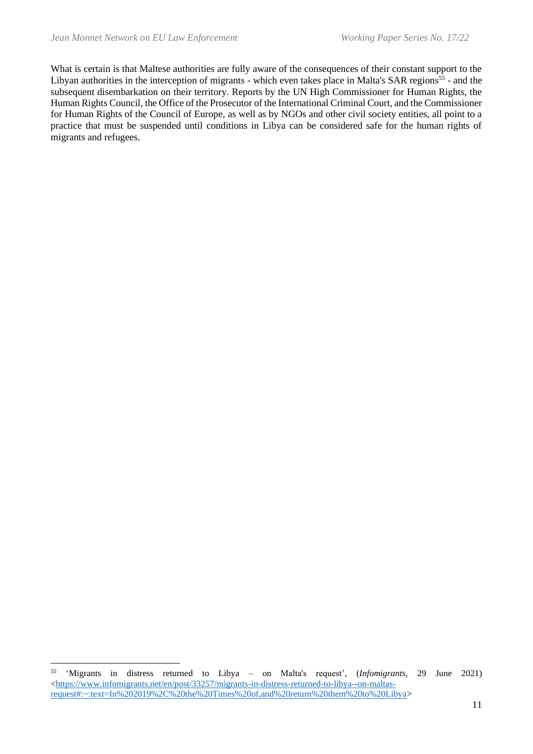What is certain is that Maltese authorities are fully aware of the consequences of their constant support to the Libyan authorities in the interception of migrants - which even takes place in Malta's SAR regions<sup>55</sup> - and the subsequent disembarkation on their territory. Reports by the UN High Commissioner for Human Rights, the Human Rights Council, the Office of the Prosecutor of the International Criminal Court, and the Commissioner for Human Rights of the Council of Europe, as well as by NGOs and other civil society entities, all point to a practice that must be suspended until conditions in Libya can be considered safe for the human rights of migrants and refugees.

<sup>55</sup> 'Migrants in distress returned to Libya – on Malta's request', (*Infomigrants*, 29 June 2021)  $\langle \frac{https://www.infomigrants.net/en/post/33257/migrants-in-distrress-returned-to-libya-on-maltas$ [request#:~:text=In%202019%2C%20the%20Times%20of,and%20return%20them%20to%20Libya>](https://www.infomigrants.net/en/post/33257/migrants-in-distress-returned-to-libya--on-maltas-request#:~:text=In%202019%2C%20the%20Times%20of,and%20return%20them%20to%20Libya)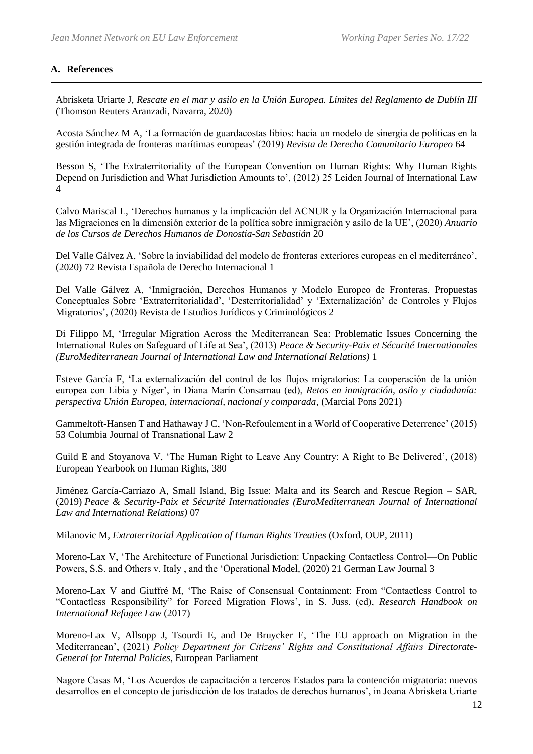## **A. References**

Abrisketa Uriarte J, *Rescate en el mar y asilo en la Unión Europea. Límites del Reglamento de Dublín III* (Thomson Reuters Aranzadi, Navarra, 2020)

Acosta Sánchez M A, 'La formación de guardacostas libios: hacia un modelo de sinergia de políticas en la gestión integrada de fronteras marítimas europeas' (2019) *Revista de Derecho Comunitario Europeo* 64

Besson S, 'The Extraterritoriality of the European Convention on Human Rights: Why Human Rights Depend on Jurisdiction and What Jurisdiction Amounts to', (2012) 25 Leiden Journal of International Law 4

Calvo Mariscal L, 'Derechos humanos y la implicación del ACNUR y la Organización Internacional para las Migraciones en la dimensión exterior de la política sobre inmigración y asilo de la UE', (2020) *Anuario de los Cursos de Derechos Humanos de Donostia-San Sebastián* 20

Del Valle Gálvez A, 'Sobre la inviabilidad del modelo de fronteras exteriores europeas en el mediterráneo', (2020) 72 Revista Española de Derecho Internacional 1

Del Valle Gálvez A, 'Inmigración, Derechos Humanos y Modelo Europeo de Fronteras. Propuestas Conceptuales Sobre 'Extraterritorialidad', 'Desterritorialidad' y 'Externalización' de Controles y Flujos Migratorios', (2020) Revista de Estudios Jurídicos y Criminológicos 2

Di Filippo M, 'Irregular Migration Across the Mediterranean Sea: Problematic Issues Concerning the International Rules on Safeguard of Life at Sea', (2013) *Peace & Security-Paix et Sécurité Internationales (EuroMediterranean Journal of International Law and International Relations)* 1

Esteve García F, 'La externalización del control de los flujos migratorios: La cooperación de la unión europea con Libia y Níger', in Diana Marín Consarnau (ed), *Retos en inmigración, asilo y ciudadanía: perspectiva Unión Europea, internacional, nacional y comparada*, (Marcial Pons 2021)

Gammeltoft-Hansen T and Hathaway J C, 'Non-Refoulement in a World of Cooperative Deterrence' (2015) 53 Columbia Journal of Transnational Law 2

Guild E and Stoyanova V, 'The Human Right to Leave Any Country: A Right to Be Delivered', (2018) European Yearbook on Human Rights, 380

Jiménez García-Carriazo A, Small Island, Big Issue: Malta and its Search and Rescue Region – SAR, (2019) *Peace & Security-Paix et Sécurité Internationales (EuroMediterranean Journal of International Law and International Relations)* 07

Milanovic M, *Extraterritorial Application of Human Rights Treaties* (Oxford, OUP, 2011)

Moreno-Lax V, 'The Architecture of Functional Jurisdiction: Unpacking Contactless Control—On Public Powers, S.S. and Others v. Italy , and the 'Operational Model, (2020) 21 German Law Journal 3

Moreno-Lax V and Giuffré M, 'The Raise of Consensual Containment: From "Contactless Control to "Contactless Responsibility" for Forced Migration Flows', in S. Juss. (ed), *Research Handbook on International Refugee Law* (2017)

Moreno-Lax V, Allsopp J, Tsourdi E, and De Bruycker E, 'The EU approach on Migration in the Mediterranean', (2021) *Policy Department for Citizens' Rights and Constitutional Affairs Directorate-General for Internal Policies*, European Parliament

Nagore Casas M, 'Los Acuerdos de capacitación a terceros Estados para la contención migratoria: nuevos desarrollos en el concepto de jurisdicción de los tratados de derechos humanos', in Joana Abrisketa Uriarte